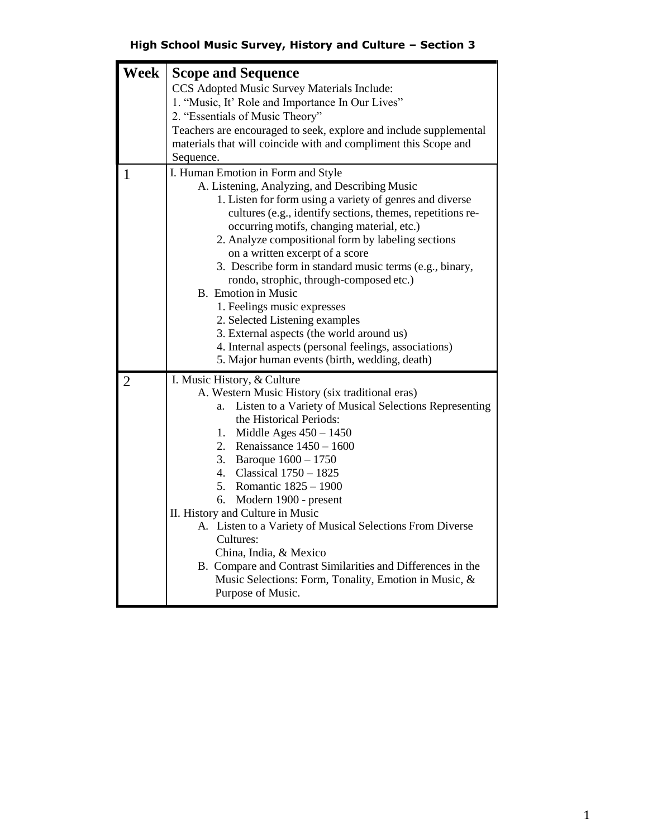## **High School Music Survey, History and Culture – Section 3**

| Week           | <b>Scope and Sequence</b><br>CCS Adopted Music Survey Materials Include:<br>1. "Music, It' Role and Importance In Our Lives"<br>2. "Essentials of Music Theory"                                                                                                                                                                                                                                                                                                                                                                                                                                                                                                                                                  |
|----------------|------------------------------------------------------------------------------------------------------------------------------------------------------------------------------------------------------------------------------------------------------------------------------------------------------------------------------------------------------------------------------------------------------------------------------------------------------------------------------------------------------------------------------------------------------------------------------------------------------------------------------------------------------------------------------------------------------------------|
|                | Teachers are encouraged to seek, explore and include supplemental<br>materials that will coincide with and compliment this Scope and<br>Sequence.                                                                                                                                                                                                                                                                                                                                                                                                                                                                                                                                                                |
| $\mathbf{1}$   | I. Human Emotion in Form and Style<br>A. Listening, Analyzing, and Describing Music<br>1. Listen for form using a variety of genres and diverse<br>cultures (e.g., identify sections, themes, repetitions re-<br>occurring motifs, changing material, etc.)<br>2. Analyze compositional form by labeling sections<br>on a written excerpt of a score<br>3. Describe form in standard music terms (e.g., binary,<br>rondo, strophic, through-composed etc.)<br><b>B.</b> Emotion in Music<br>1. Feelings music expresses<br>2. Selected Listening examples<br>3. External aspects (the world around us)<br>4. Internal aspects (personal feelings, associations)<br>5. Major human events (birth, wedding, death) |
| $\overline{2}$ | I. Music History, & Culture<br>A. Western Music History (six traditional eras)<br>Listen to a Variety of Musical Selections Representing<br>a.<br>the Historical Periods:<br>Middle Ages $450 - 1450$<br>1.<br>2. Renaissance $1450 - 1600$<br>3. Baroque $1600 - 1750$<br>4. Classical 1750 - 1825<br>5. Romantic 1825 - 1900<br>6.<br>Modern 1900 - present<br>II. History and Culture in Music<br>A. Listen to a Variety of Musical Selections From Diverse<br>Cultures:<br>China, India, & Mexico<br>B. Compare and Contrast Similarities and Differences in the<br>Music Selections: Form, Tonality, Emotion in Music, &<br>Purpose of Music.                                                               |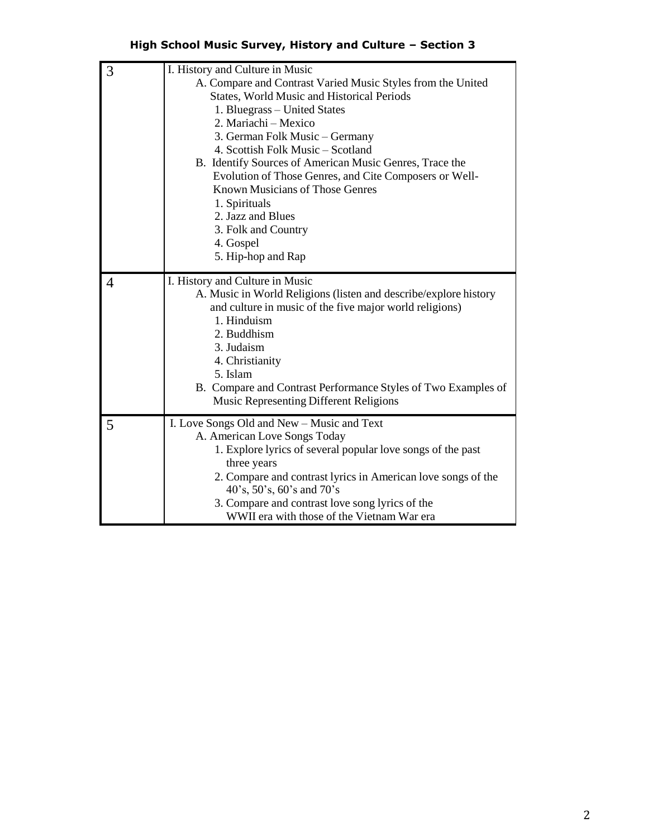## **High School Music Survey, History and Culture – Section 3**

| 3                                                      | I. History and Culture in Music                                                                                                                                                            |  |  |
|--------------------------------------------------------|--------------------------------------------------------------------------------------------------------------------------------------------------------------------------------------------|--|--|
|                                                        | A. Compare and Contrast Varied Music Styles from the United                                                                                                                                |  |  |
|                                                        | <b>States, World Music and Historical Periods</b>                                                                                                                                          |  |  |
|                                                        | 1. Bluegrass - United States                                                                                                                                                               |  |  |
|                                                        | 2. Mariachi – Mexico                                                                                                                                                                       |  |  |
| 3. German Folk Music - Germany                         |                                                                                                                                                                                            |  |  |
|                                                        | 4. Scottish Folk Music - Scotland                                                                                                                                                          |  |  |
|                                                        | B. Identify Sources of American Music Genres, Trace the                                                                                                                                    |  |  |
| Evolution of Those Genres, and Cite Composers or Well- |                                                                                                                                                                                            |  |  |
|                                                        | <b>Known Musicians of Those Genres</b>                                                                                                                                                     |  |  |
|                                                        | 1. Spirituals                                                                                                                                                                              |  |  |
|                                                        | 2. Jazz and Blues                                                                                                                                                                          |  |  |
|                                                        | 3. Folk and Country                                                                                                                                                                        |  |  |
|                                                        | 4. Gospel                                                                                                                                                                                  |  |  |
|                                                        | 5. Hip-hop and Rap                                                                                                                                                                         |  |  |
|                                                        |                                                                                                                                                                                            |  |  |
| 4                                                      | I. History and Culture in Music                                                                                                                                                            |  |  |
|                                                        | A. Music in World Religions (listen and describe/explore history                                                                                                                           |  |  |
|                                                        | and culture in music of the five major world religions)                                                                                                                                    |  |  |
|                                                        | 1. Hinduism                                                                                                                                                                                |  |  |
|                                                        | 2. Buddhism                                                                                                                                                                                |  |  |
|                                                        | 3. Judaism                                                                                                                                                                                 |  |  |
|                                                        | 4. Christianity                                                                                                                                                                            |  |  |
|                                                        | 5. Islam                                                                                                                                                                                   |  |  |
|                                                        | B. Compare and Contrast Performance Styles of Two Examples of                                                                                                                              |  |  |
|                                                        | <b>Music Representing Different Religions</b>                                                                                                                                              |  |  |
| 5                                                      | I. Love Songs Old and New - Music and Text                                                                                                                                                 |  |  |
|                                                        | A. American Love Songs Today                                                                                                                                                               |  |  |
|                                                        | 1. Explore lyrics of several popular love songs of the past                                                                                                                                |  |  |
|                                                        | three years                                                                                                                                                                                |  |  |
|                                                        |                                                                                                                                                                                            |  |  |
|                                                        |                                                                                                                                                                                            |  |  |
|                                                        |                                                                                                                                                                                            |  |  |
|                                                        |                                                                                                                                                                                            |  |  |
|                                                        | 2. Compare and contrast lyrics in American love songs of the<br>40's, 50's, 60's and 70's<br>3. Compare and contrast love song lyrics of the<br>WWII era with those of the Vietnam War era |  |  |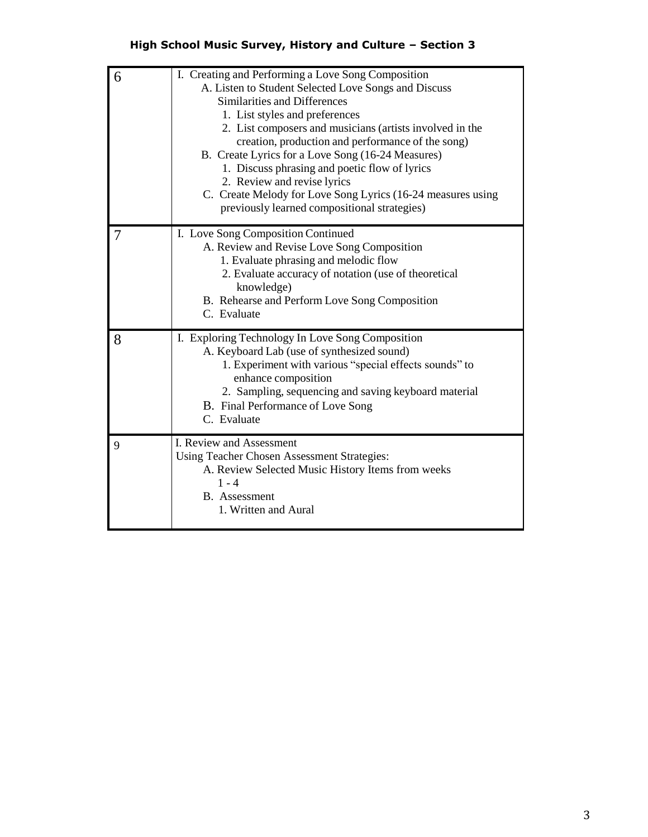## **High School Music Survey, History and Culture – Section 3**

| 6 | I. Creating and Performing a Love Song Composition<br>A. Listen to Student Selected Love Songs and Discuss<br>Similarities and Differences<br>1. List styles and preferences<br>2. List composers and musicians (artists involved in the<br>creation, production and performance of the song)<br>B. Create Lyrics for a Love Song (16-24 Measures)<br>1. Discuss phrasing and poetic flow of lyrics<br>2. Review and revise lyrics<br>C. Create Melody for Love Song Lyrics (16-24 measures using<br>previously learned compositional strategies) |
|---|---------------------------------------------------------------------------------------------------------------------------------------------------------------------------------------------------------------------------------------------------------------------------------------------------------------------------------------------------------------------------------------------------------------------------------------------------------------------------------------------------------------------------------------------------|
|   | I. Love Song Composition Continued<br>A. Review and Revise Love Song Composition<br>1. Evaluate phrasing and melodic flow<br>2. Evaluate accuracy of notation (use of theoretical<br>knowledge)<br>B. Rehearse and Perform Love Song Composition<br>C. Evaluate                                                                                                                                                                                                                                                                                   |
| 8 | I. Exploring Technology In Love Song Composition<br>A. Keyboard Lab (use of synthesized sound)<br>1. Experiment with various "special effects sounds" to<br>enhance composition<br>2. Sampling, sequencing and saving keyboard material<br>B. Final Performance of Love Song<br>C. Evaluate                                                                                                                                                                                                                                                       |
| 9 | I. Review and Assessment<br><b>Using Teacher Chosen Assessment Strategies:</b><br>A. Review Selected Music History Items from weeks<br>$1 - 4$<br><b>B.</b> Assessment<br>1. Written and Aural                                                                                                                                                                                                                                                                                                                                                    |